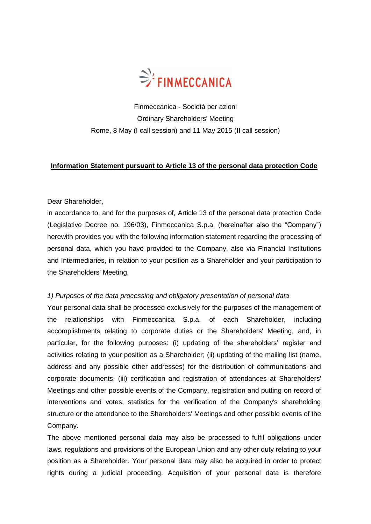

Finmeccanica - Società per azioni Ordinary Shareholders' Meeting Rome, 8 May (I call session) and 11 May 2015 (II call session)

## **Information Statement pursuant to Article 13 of the personal data protection Code**

## Dear Shareholder,

in accordance to, and for the purposes of, Article 13 of the personal data protection Code (Legislative Decree no. 196/03), Finmeccanica S.p.a. (hereinafter also the "Company") herewith provides you with the following information statement regarding the processing of personal data, which you have provided to the Company, also via Financial Institutions and Intermediaries, in relation to your position as a Shareholder and your participation to the Shareholders' Meeting.

### *1) Purposes of the data processing and obligatory presentation of personal data*

Your personal data shall be processed exclusively for the purposes of the management of the relationships with Finmeccanica S.p.a. of each Shareholder, including accomplishments relating to corporate duties or the Shareholders' Meeting, and, in particular, for the following purposes: (i) updating of the shareholders' register and activities relating to your position as a Shareholder; (ii) updating of the mailing list (name, address and any possible other addresses) for the distribution of communications and corporate documents; (iii) certification and registration of attendances at Shareholders' Meetings and other possible events of the Company, registration and putting on record of interventions and votes, statistics for the verification of the Company's shareholding structure or the attendance to the Shareholders' Meetings and other possible events of the Company.

The above mentioned personal data may also be processed to fulfil obligations under laws, regulations and provisions of the European Union and any other duty relating to your position as a Shareholder. Your personal data may also be acquired in order to protect rights during a judicial proceeding. Acquisition of your personal data is therefore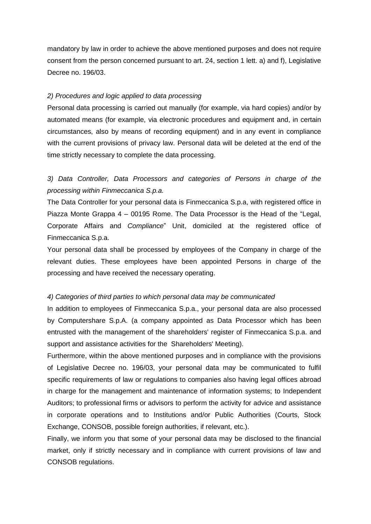mandatory by law in order to achieve the above mentioned purposes and does not require consent from the person concerned pursuant to art. 24, section 1 lett. a) and f), Legislative Decree no. 196/03.

#### *2) Procedures and logic applied to data processing*

Personal data processing is carried out manually (for example, via hard copies) and/or by automated means (for example, via electronic procedures and equipment and, in certain circumstances, also by means of recording equipment) and in any event in compliance with the current provisions of privacy law. Personal data will be deleted at the end of the time strictly necessary to complete the data processing.

# *3) Data Controller, Data Processors and categories of Persons in charge of the processing within Finmeccanica S.p.a.*

The Data Controller for your personal data is Finmeccanica S.p.a, with registered office in Piazza Monte Grappa 4 – 00195 Rome. The Data Processor is the Head of the "Legal, Corporate Affairs and *Compliance*" Unit, domiciled at the registered office of Finmeccanica S.p.a.

Your personal data shall be processed by employees of the Company in charge of the relevant duties. These employees have been appointed Persons in charge of the processing and have received the necessary operating.

#### *4) Categories of third parties to which personal data may be communicated*

In addition to employees of Finmeccanica S.p.a., your personal data are also processed by Computershare S.p.A. (a company appointed as Data Processor which has been entrusted with the management of the shareholders' register of Finmeccanica S.p.a. and support and assistance activities for the Shareholders' Meeting).

Furthermore, within the above mentioned purposes and in compliance with the provisions of Legislative Decree no. 196/03, your personal data may be communicated to fulfil specific requirements of law or regulations to companies also having legal offices abroad in charge for the management and maintenance of information systems; to Independent Auditors; to professional firms or advisors to perform the activity for advice and assistance in corporate operations and to Institutions and/or Public Authorities (Courts, Stock Exchange, CONSOB, possible foreign authorities, if relevant, etc.).

Finally, we inform you that some of your personal data may be disclosed to the financial market, only if strictly necessary and in compliance with current provisions of law and CONSOB regulations.